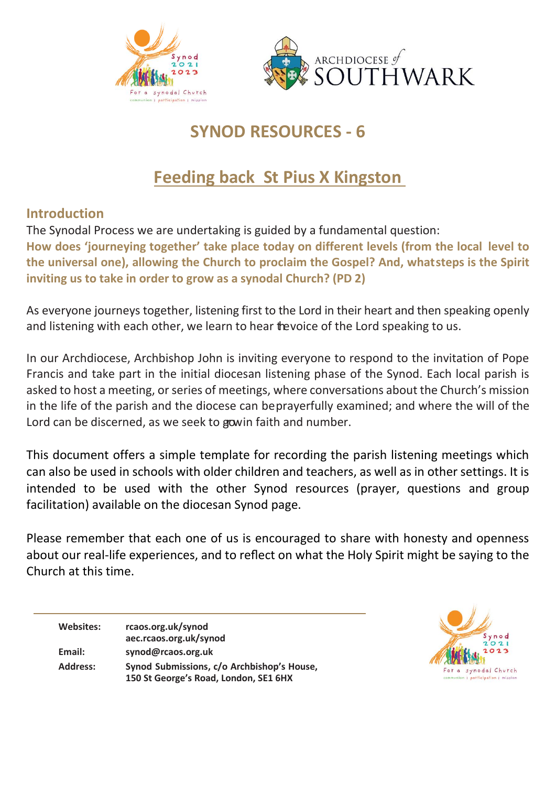



# **SYNOD RESOURCES - 6**

# **Feeding back St Pius X Kingston**

#### **Introduction**

The Synodal Process we are undertaking is guided by a fundamental question:

**How does 'journeying together' take place today on different levels (from the local level to the universal one), allowing the Church to proclaim the Gospel? And, whatsteps is the Spirit inviting us to take in order to grow as a synodal Church? (PD 2)**

As everyone journeys together, listening first to the Lord in their heart and then speaking openly and listening with each other, we learn to hear thevoice of the Lord speaking to us.

In our Archdiocese, Archbishop John is inviting everyone to respond to the invitation of Pope Francis and take part in the initial diocesan listening phase of the Synod. Each local parish is asked to host a meeting, or series of meetings, where conversations about the Church's mission in the life of the parish and the diocese can beprayerfully examined; and where the will of the Lord can be discerned, as we seek to gowin faith and number.

This document offers a simple template for recording the parish listening meetings which can also be used in schools with older children and teachers, as well as in other settings. It is intended to be used with the other Synod resources (prayer, questions and group facilitation) available on the diocesan Synod page.

Please remember that each one of us is encouraged to share with honesty and openness about our real-life experiences, and to reflect on what the Holy Spirit might be saying to the Church at this time.

**Websites: rcaos.org.uk/synod aec.rcaos.org.uk/synod Email: [synod@rcaos.org.uk](mailto:synod@rcaos.org.uk) Address: Synod Submissions, c/o Archbishop's House, 150 St George's Road, London, SE1 6HX**

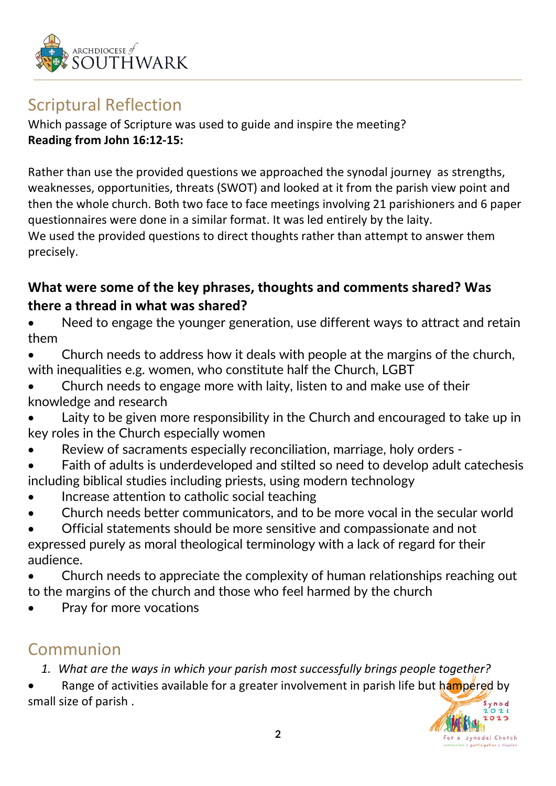

## Scriptural Reflection

Which passage of Scripture was used to guide and inspire the meeting? **Reading from John 16:12-15:**

Rather than use the provided questions we approached the synodal journey as strengths, weaknesses, opportunities, threats (SWOT) and looked at it from the parish view point and then the whole church. Both two face to face meetings involving 21 parishioners and 6 paper questionnaires were done in a similar format. It was led entirely by the laity. We used the provided questions to direct thoughts rather than attempt to answer them precisely.

### **What were some of the key phrases, thoughts and comments shared? Was there a thread in what was shared?**

Need to engage the younger generation, use different ways to attract and retain them

- Church needs to address how it deals with people at the margins of the church, with inequalities e.g. women, who constitute half the Church, LGBT
- Church needs to engage more with laity, listen to and make use of their knowledge and research
- Laity to be given more responsibility in the Church and encouraged to take up in key roles in the Church especially women
- Review of sacraments especially reconciliation, marriage, holy orders -
- Faith of adults is underdeveloped and stilted so need to develop adult catechesis including biblical studies including priests, using modern technology
- Increase attention to catholic social teaching
- Church needs better communicators, and to be more vocal in the secular world
- Official statements should be more sensitive and compassionate and not expressed purely as moral theological terminology with a lack of regard for their audience.

• Church needs to appreciate the complexity of human relationships reaching out to the margins of the church and those who feel harmed by the church

Pray for more vocations

## Communion

*1. What are the ways in which your parish most successfully brings people together?* 

Range of activities available for a greater involvement in parish life but hampered by small size of parish .

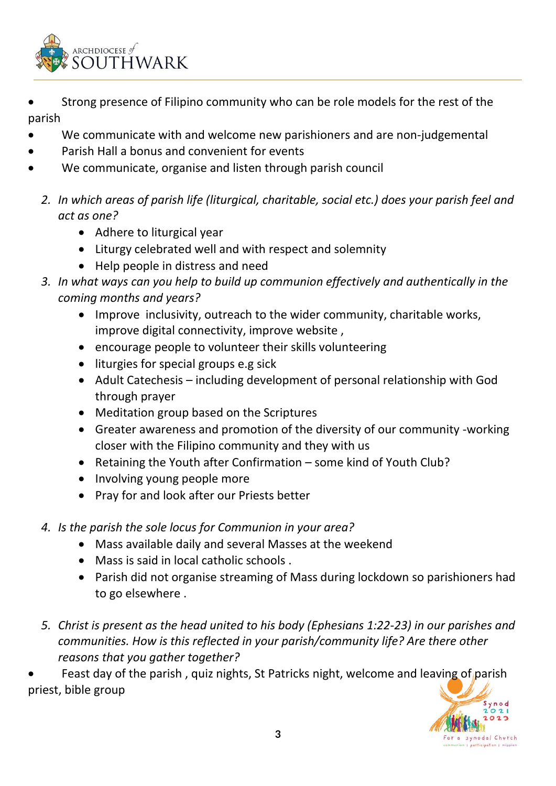

- Strong presence of Filipino community who can be role models for the rest of the parish
- We communicate with and welcome new parishioners and are non-judgemental
- Parish Hall a bonus and convenient for events
- We communicate, organise and listen through parish council
	- *2. In which areas of parish life (liturgical, charitable, social etc.) does your parish feel and act as one?*
		- Adhere to liturgical year
		- Liturgy celebrated well and with respect and solemnity
		- Help people in distress and need
	- *3. In what ways can you help to build up communion effectively and authentically in the coming months and years?*
		- Improve inclusivity, outreach to the wider community, charitable works, improve digital connectivity, improve website ,
		- encourage people to volunteer their skills volunteering
		- liturgies for special groups e.g sick
		- Adult Catechesis including development of personal relationship with God through prayer
		- Meditation group based on the Scriptures
		- Greater awareness and promotion of the diversity of our community -working closer with the Filipino community and they with us
		- Retaining the Youth after Confirmation some kind of Youth Club?
		- Involving young people more
		- Pray for and look after our Priests better
	- *4. Is the parish the sole locus for Communion in your area?* 
		- Mass available daily and several Masses at the weekend
		- Mass is said in local catholic schools .
		- Parish did not organise streaming of Mass during lockdown so parishioners had to go elsewhere .
	- *5. Christ is present as the head united to his body (Ephesians 1:22-23) in our parishes and communities. How is this reflected in your parish/community life? Are there other reasons that you gather together?*

Feast day of the parish, quiz nights, St Patricks night, welcome and leaving of parish priest, bible group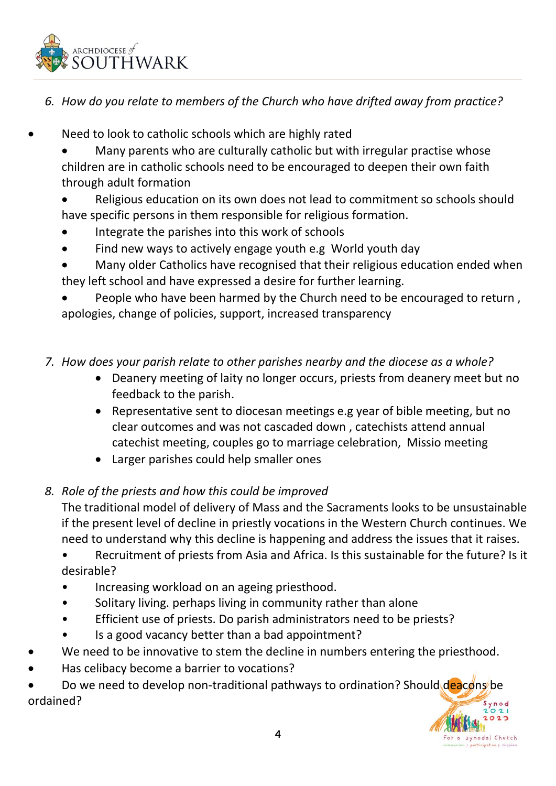

- *6. How do you relate to members of the Church who have drifted away from practice?*
- Need to look to catholic schools which are highly rated
	- Many parents who are culturally catholic but with irregular practise whose children are in catholic schools need to be encouraged to deepen their own faith through adult formation
	- Religious education on its own does not lead to commitment so schools should have specific persons in them responsible for religious formation.
	- Integrate the parishes into this work of schools
	- Find new ways to actively engage youth e.g World youth day
	- Many older Catholics have recognised that their religious education ended when they left school and have expressed a desire for further learning.
	- People who have been harmed by the Church need to be encouraged to return , apologies, change of policies, support, increased transparency
	- *7. How does your parish relate to other parishes nearby and the diocese as a whole?*
		- Deanery meeting of laity no longer occurs, priests from deanery meet but no feedback to the parish.
		- Representative sent to diocesan meetings e.g year of bible meeting, but no clear outcomes and was not cascaded down , catechists attend annual catechist meeting, couples go to marriage celebration, Missio meeting
		- Larger parishes could help smaller ones
	- *8. Role of the priests and how this could be improved*

The traditional model of delivery of Mass and the Sacraments looks to be unsustainable if the present level of decline in priestly vocations in the Western Church continues. We need to understand why this decline is happening and address the issues that it raises.

• Recruitment of priests from Asia and Africa. Is this sustainable for the future? Is it desirable?

- Increasing workload on an ageing priesthood.
- Solitary living. perhaps living in community rather than alone
- Efficient use of priests. Do parish administrators need to be priests?
- Is a good vacancy better than a bad appointment?
- We need to be innovative to stem the decline in numbers entering the priesthood.
- Has celibacy become a barrier to vocations?
- Do we need to develop non-traditional pathways to ordination? Should deacons be ordained?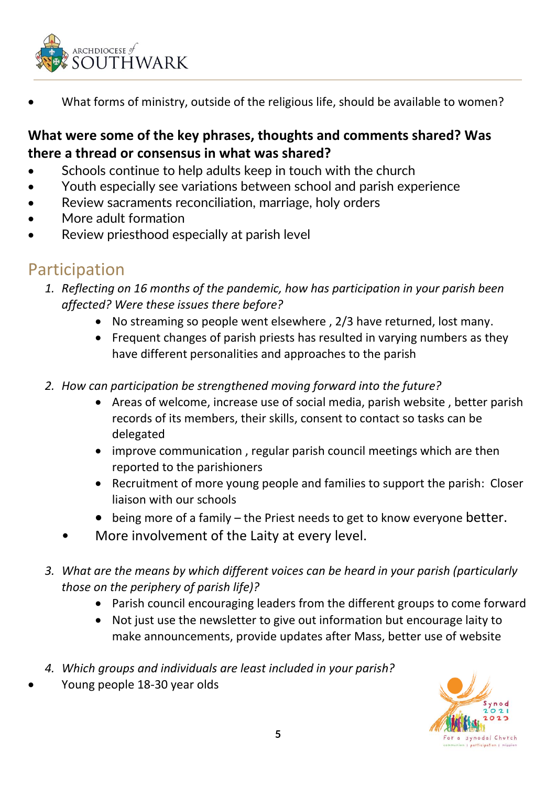

What forms of ministry, outside of the religious life, should be available to women?

#### **What were some of the key phrases, thoughts and comments shared? Was there a thread or consensus in what was shared?**

- Schools continue to help adults keep in touch with the church
- Youth especially see variations between school and parish experience
- Review sacraments reconciliation, marriage, holy orders
- More adult formation
- Review priesthood especially at parish level

## Participation

- *1. Reflecting on 16 months of the pandemic, how has participation in your parish been affected? Were these issues there before?*
	- No streaming so people went elsewhere , 2/3 have returned, lost many.
	- Frequent changes of parish priests has resulted in varying numbers as they have different personalities and approaches to the parish
- *2. How can participation be strengthened moving forward into the future?*
	- Areas of welcome, increase use of social media, parish website , better parish records of its members, their skills, consent to contact so tasks can be delegated
	- improve communication , regular parish council meetings which are then reported to the parishioners
	- Recruitment of more young people and families to support the parish: Closer liaison with our schools
	- being more of a family the Priest needs to get to know everyone better.
	- More involvement of the Laity at every level.
- *3. What are the means by which different voices can be heard in your parish (particularly those on the periphery of parish life)?*
	- Parish council encouraging leaders from the different groups to come forward
	- Not just use the newsletter to give out information but encourage laity to make announcements, provide updates after Mass, better use of website
- *4. Which groups and individuals are least included in your parish?*
- Young people 18-30 year olds

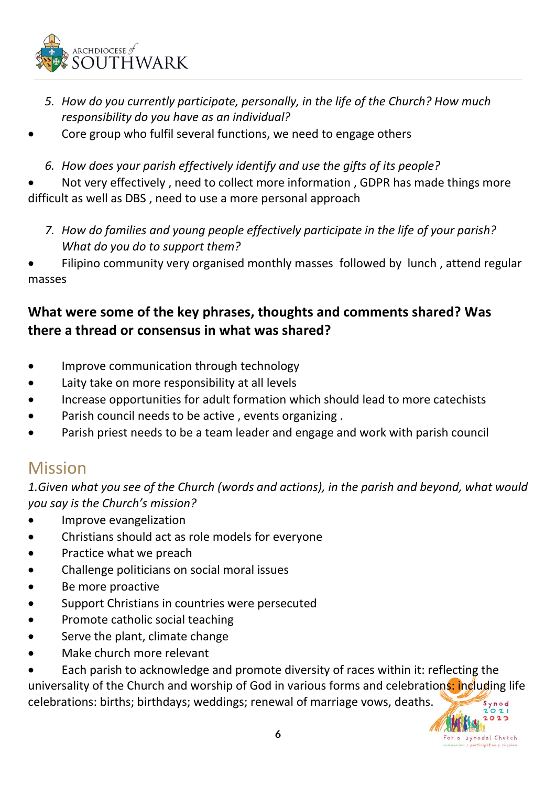

- *5. How do you currently participate, personally, in the life of the Church? How much responsibility do you have as an individual?*
- Core group who fulfil several functions, we need to engage others
	- *6. How does your parish effectively identify and use the gifts of its people?*

• Not very effectively , need to collect more information , GDPR has made things more difficult as well as DBS , need to use a more personal approach

- *7. How do families and young people effectively participate in the life of your parish? What do you do to support them?*
- Filipino community very organised monthly masses followed by lunch , attend regular masses

#### **What were some of the key phrases, thoughts and comments shared? Was there a thread or consensus in what was shared?**

- Improve communication through technology
- Laity take on more responsibility at all levels
- Increase opportunities for adult formation which should lead to more catechists
- Parish council needs to be active , events organizing .
- Parish priest needs to be a team leader and engage and work with parish council

### Mission

*1.Given what you see of the Church (words and actions), in the parish and beyond, what would you say is the Church's mission?*

- Improve evangelization
- Christians should act as role models for everyone
- Practice what we preach
- Challenge politicians on social moral issues
- Be more proactive
- Support Christians in countries were persecuted
- Promote catholic social teaching
- Serve the plant, climate change
- Make church more relevant

• Each parish to acknowledge and promote diversity of races within it: reflecting the universality of the Church and worship of God in various forms and celebrations: including life celebrations: births; birthdays; weddings; renewal of marriage vows, deaths.

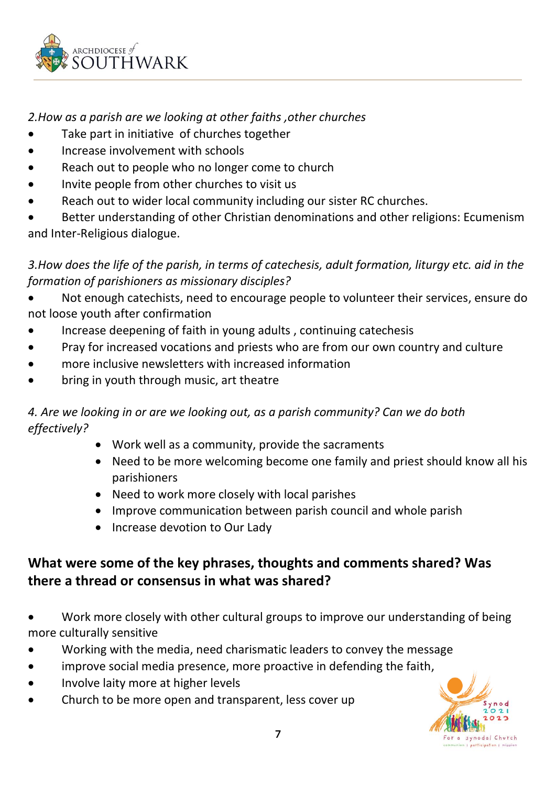

#### *2.How as a parish are we looking at other faiths ,other churches*

- Take part in initiative of churches together
- Increase involvement with schools
- Reach out to people who no longer come to church
- Invite people from other churches to visit us
- Reach out to wider local community including our sister RC churches.

Better understanding of other Christian denominations and other religions: Ecumenism and Inter-Religious dialogue.

*3.How does the life of the parish, in terms of catechesis, adult formation, liturgy etc. aid in the formation of parishioners as missionary disciples?*

- Not enough catechists, need to encourage people to volunteer their services, ensure do not loose youth after confirmation
- Increase deepening of faith in young adults , continuing catechesis
- Pray for increased vocations and priests who are from our own country and culture
- more inclusive newsletters with increased information
- bring in youth through music, art theatre

#### *4. Are we looking in or are we looking out, as a parish community? Can we do both effectively?*

- Work well as a community, provide the sacraments
- Need to be more welcoming become one family and priest should know all his parishioners
- Need to work more closely with local parishes
- Improve communication between parish council and whole parish
- Increase devotion to Our Lady

### **What were some of the key phrases, thoughts and comments shared? Was there a thread or consensus in what was shared?**

- Work more closely with other cultural groups to improve our understanding of being more culturally sensitive
- Working with the media, need charismatic leaders to convey the message
- improve social media presence, more proactive in defending the faith,
- Involve laity more at higher levels
- Church to be more open and transparent, less cover up